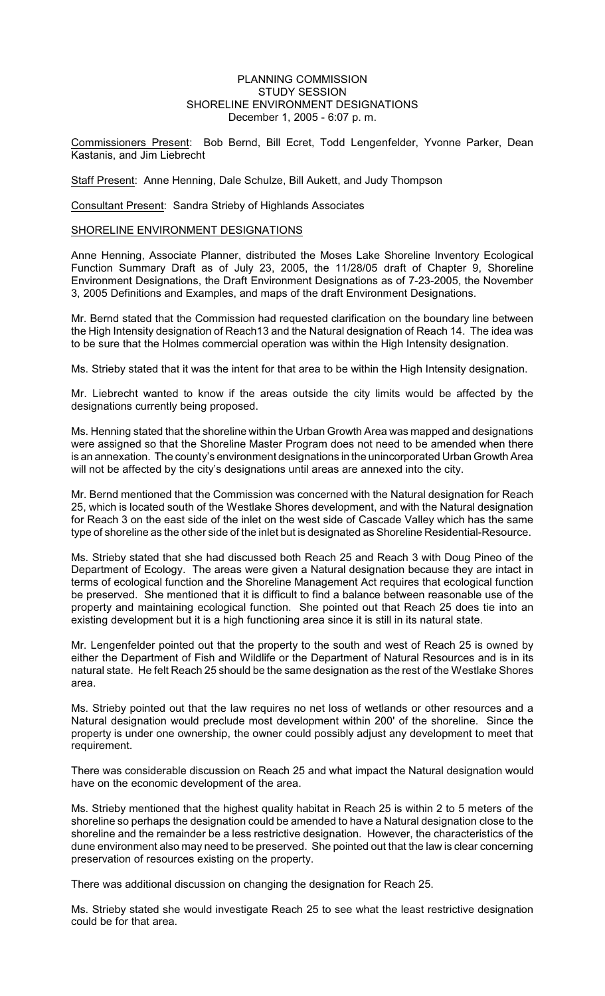## PLANNING COMMISSION STUDY SESSION SHORELINE ENVIRONMENT DESIGNATIONS December 1, 2005 - 6:07 p. m.

Commissioners Present: Bob Bernd, Bill Ecret, Todd Lengenfelder, Yvonne Parker, Dean Kastanis, and Jim Liebrecht

Staff Present: Anne Henning, Dale Schulze, Bill Aukett, and Judy Thompson

Consultant Present: Sandra Strieby of Highlands Associates

SHORELINE ENVIRONMENT DESIGNATIONS

Anne Henning, Associate Planner, distributed the Moses Lake Shoreline Inventory Ecological Function Summary Draft as of July 23, 2005, the 11/28/05 draft of Chapter 9, Shoreline Environment Designations, the Draft Environment Designations as of 7-23-2005, the November 3, 2005 Definitions and Examples, and maps of the draft Environment Designations.

Mr. Bernd stated that the Commission had requested clarification on the boundary line between the High Intensity designation of Reach13 and the Natural designation of Reach 14. The idea was to be sure that the Holmes commercial operation was within the High Intensity designation.

Ms. Strieby stated that it was the intent for that area to be within the High Intensity designation.

Mr. Liebrecht wanted to know if the areas outside the city limits would be affected by the designations currently being proposed.

Ms. Henning stated that the shoreline within the Urban Growth Area was mapped and designations were assigned so that the Shoreline Master Program does not need to be amended when there is an annexation. The county's environment designations in the unincorporated Urban Growth Area will not be affected by the city's designations until areas are annexed into the city.

Mr. Bernd mentioned that the Commission was concerned with the Natural designation for Reach 25, which is located south of the Westlake Shores development, and with the Natural designation for Reach 3 on the east side of the inlet on the west side of Cascade Valley which has the same type of shoreline as the other side of the inlet but is designated as Shoreline Residential-Resource.

Ms. Strieby stated that she had discussed both Reach 25 and Reach 3 with Doug Pineo of the Department of Ecology. The areas were given a Natural designation because they are intact in terms of ecological function and the Shoreline Management Act requires that ecological function be preserved. She mentioned that it is difficult to find a balance between reasonable use of the property and maintaining ecological function. She pointed out that Reach 25 does tie into an existing development but it is a high functioning area since it is still in its natural state.

Mr. Lengenfelder pointed out that the property to the south and west of Reach 25 is owned by either the Department of Fish and Wildlife or the Department of Natural Resources and is in its natural state. He felt Reach 25 should be the same designation as the rest of the Westlake Shores area.

Ms. Strieby pointed out that the law requires no net loss of wetlands or other resources and a Natural designation would preclude most development within 200' of the shoreline. Since the property is under one ownership, the owner could possibly adjust any development to meet that requirement.

There was considerable discussion on Reach 25 and what impact the Natural designation would have on the economic development of the area.

Ms. Strieby mentioned that the highest quality habitat in Reach 25 is within 2 to 5 meters of the shoreline so perhaps the designation could be amended to have a Natural designation close to the shoreline and the remainder be a less restrictive designation. However, the characteristics of the dune environment also may need to be preserved. She pointed out that the law is clear concerning preservation of resources existing on the property.

There was additional discussion on changing the designation for Reach 25.

Ms. Strieby stated she would investigate Reach 25 to see what the least restrictive designation could be for that area.